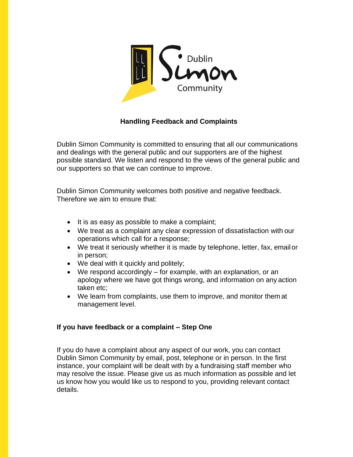

## **Handling Feedback and Complaints**

Dublin Simon Community is committed to ensuring that all our communications and dealings with the general public and our supporters are of the highest possible standard. We listen and respond to the views of the general public and our supporters so that we can continue to improve.

Dublin Simon Community welcomes both positive and negative feedback. Therefore we aim to ensure that:

- It is as easy as possible to make a complaint;
- We treat as a complaint any clear expression of dissatisfaction with our operations which call for a response;
- We treat it seriously whether it is made by telephone, letter, fax, emailor in person;
- We deal with it quickly and politely;
- We respond accordingly for example, with an explanation, or an apology where we have got things wrong, and information on any action taken etc;
- We learn from complaints, use them to improve, and monitor them at management level.

## **If you have feedback or a complaint – Step One**

If you do have a complaint about any aspect of our work, you can contact Dublin Simon Community by email, post, telephone or in person. In the first instance, your complaint will be dealt with by a fundraising staff member who may resolve the issue. Please give us as much information as possible and let us know how you would like us to respond to you, providing relevant contact details.